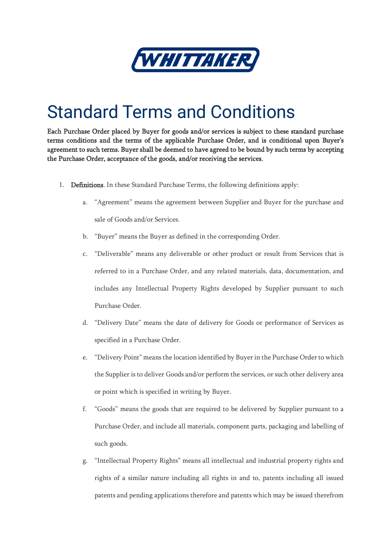

## Standard Terms and Conditions

Each Purchase Order placed by Buyer for goods and/or services is subject to these standard purchase terms conditions and the terms of the applicable Purchase Order, and is conditional upon Buyer's agreement to such terms. Buyer shall be deemed to have agreed to be bound by such terms by accepting the Purchase Order, acceptance of the goods, and/or receiving the services.

- 1. Definitions. In these Standard Purchase Terms, the following definitions apply:
	- a. "Agreement" means the agreement between Supplier and Buyer for the purchase and sale of Goods and/or Services.
	- b. "Buyer" means the Buyer as defined in the corresponding Order.
	- c. "Deliverable" means any deliverable or other product or result from Services that is referred to in a Purchase Order, and any related materials, data, documentation, and includes any Intellectual Property Rights developed by Supplier pursuant to such Purchase Order.
	- d. "Delivery Date" means the date of delivery for Goods or performance of Services as specified in a Purchase Order.
	- e. "Delivery Point" means the location identified by Buyer in the Purchase Order to which the Supplier is to deliver Goods and/or perform the services, or such other delivery area or point which is specified in writing by Buyer.
	- f. "Goods" means the goods that are required to be delivered by Supplier pursuant to a Purchase Order, and include all materials, component parts, packaging and labelling of such goods.
	- g. "Intellectual Property Rights" means all intellectual and industrial property rights and rights of a similar nature including all rights in and to, patents including all issued patents and pending applications therefore and patents which may be issued therefrom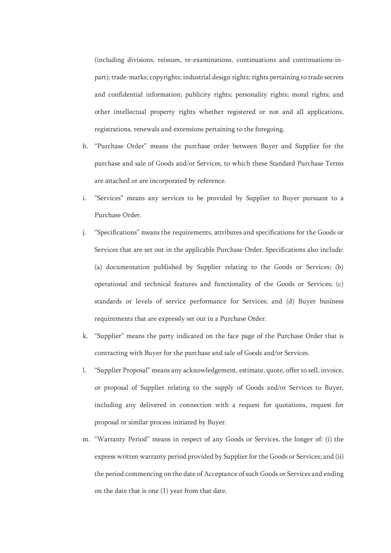(including divisions, reissues, re-examinations, continuations and continuations-inpart); trade-marks; copyrights; industrial design rights; rights pertaining to trade secrets and confidential information; publicity rights; personality rights; moral rights; and other intellectual property rights whether registered or not and all applications, registrations, renewals and extensions pertaining to the foregoing.

- h. "Purchase Order" means the purchase order between Buyer and Supplier for the purchase and sale of Goods and/or Services, to which these Standard Purchase Terms are attached or are incorporated by reference.
- i. "Services" means any services to be provided by Supplier to Buyer pursuant to a Purchase Order.
- j. "Specifications" means the requirements, attributes and specifications for the Goods or Services that are set out in the applicable Purchase Order. Specifications also include: (a) documentation published by Supplier relating to the Goods or Services; (b) operational and technical features and functionality of the Goods or Services; (c) standards or levels of service performance for Services; and (d) Buyer business requirements that are expressly set out in a Purchase Order.
- k. "Supplier" means the party indicated on the face page of the Purchase Order that is contracting with Buyer for the purchase and sale of Goods and/or Services.
- l. "Supplier Proposal" means any acknowledgement, estimate, quote, offer to sell, invoice, or proposal of Supplier relating to the supply of Goods and/or Services to Buyer, including any delivered in connection with a request for quotations, request for proposal or similar process initiated by Buyer.
- m. "Warranty Period" means in respect of any Goods or Services, the longer of: (i) the express written warranty period provided by Supplier for the Goods or Services; and (ii) the period commencing on the date of Acceptance of such Goods or Services and ending on the date that is one (1) year from that date.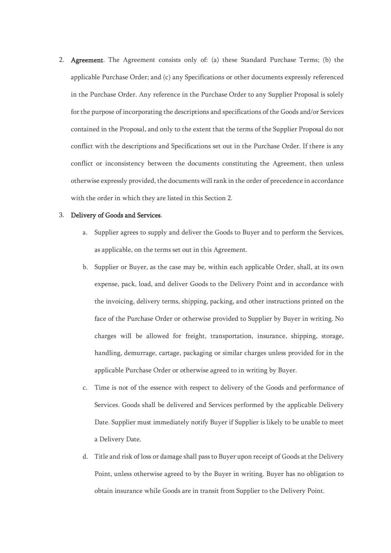2. Agreement. The Agreement consists only of: (a) these Standard Purchase Terms; (b) the applicable Purchase Order; and (c) any Specifications or other documents expressly referenced in the Purchase Order. Any reference in the Purchase Order to any Supplier Proposal is solely for the purpose of incorporating the descriptions and specifications of the Goods and/or Services contained in the Proposal, and only to the extent that the terms of the Supplier Proposal do not conflict with the descriptions and Specifications set out in the Purchase Order. If there is any conflict or inconsistency between the documents constituting the Agreement, then unless otherwise expressly provided, the documents will rank in the order of precedence in accordance with the order in which they are listed in this Section 2.

## 3. Delivery of Goods and Services.

- a. Supplier agrees to supply and deliver the Goods to Buyer and to perform the Services, as applicable, on the terms set out in this Agreement.
- b. Supplier or Buyer, as the case may be, within each applicable Order, shall, at its own expense, pack, load, and deliver Goods to the Delivery Point and in accordance with the invoicing, delivery terms, shipping, packing, and other instructions printed on the face of the Purchase Order or otherwise provided to Supplier by Buyer in writing. No charges will be allowed for freight, transportation, insurance, shipping, storage, handling, demurrage, cartage, packaging or similar charges unless provided for in the applicable Purchase Order or otherwise agreed to in writing by Buyer.
- c. Time is not of the essence with respect to delivery of the Goods and performance of Services. Goods shall be delivered and Services performed by the applicable Delivery Date. Supplier must immediately notify Buyer if Supplier is likely to be unable to meet a Delivery Date.
- d. Title and risk of loss or damage shall pass to Buyer upon receipt of Goods at the Delivery Point, unless otherwise agreed to by the Buyer in writing. Buyer has no obligation to obtain insurance while Goods are in transit from Supplier to the Delivery Point.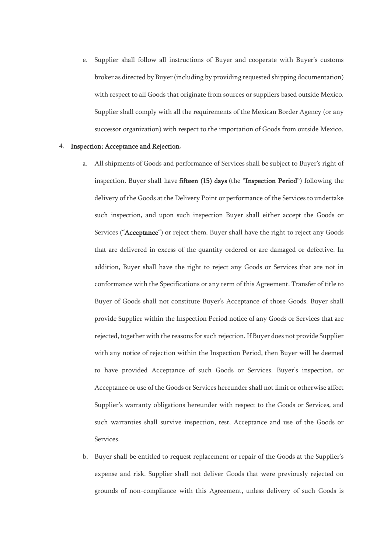e. Supplier shall follow all instructions of Buyer and cooperate with Buyer's customs broker as directed by Buyer (including by providing requested shipping documentation) with respect to all Goods that originate from sources or suppliers based outside Mexico. Supplier shall comply with all the requirements of the Mexican Border Agency (or any successor organization) with respect to the importation of Goods from outside Mexico.

## 4. Inspection; Acceptance and Rejection.

- a. All shipments of Goods and performance of Services shall be subject to Buyer's right of inspection. Buyer shall have fifteen (15) days (the "Inspection Period") following the delivery of the Goods at the Delivery Point or performance of the Services to undertake such inspection, and upon such inspection Buyer shall either accept the Goods or Services ("Acceptance") or reject them. Buyer shall have the right to reject any Goods that are delivered in excess of the quantity ordered or are damaged or defective. In addition, Buyer shall have the right to reject any Goods or Services that are not in conformance with the Specifications or any term of this Agreement. Transfer of title to Buyer of Goods shall not constitute Buyer's Acceptance of those Goods. Buyer shall provide Supplier within the Inspection Period notice of any Goods or Services that are rejected, together with the reasons for such rejection. If Buyer does not provide Supplier with any notice of rejection within the Inspection Period, then Buyer will be deemed to have provided Acceptance of such Goods or Services. Buyer's inspection, or Acceptance or use of the Goods or Services hereunder shall not limit or otherwise affect Supplier's warranty obligations hereunder with respect to the Goods or Services, and such warranties shall survive inspection, test, Acceptance and use of the Goods or Services.
- b. Buyer shall be entitled to request replacement or repair of the Goods at the Supplier's expense and risk. Supplier shall not deliver Goods that were previously rejected on grounds of non-compliance with this Agreement, unless delivery of such Goods is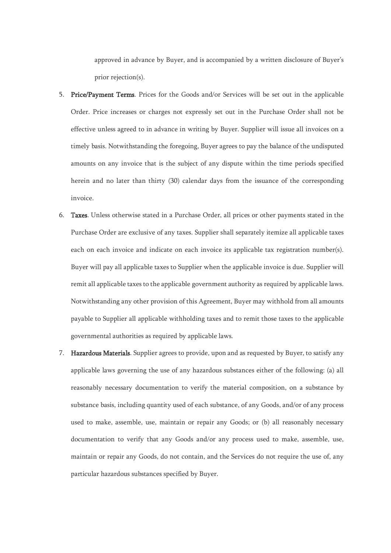approved in advance by Buyer, and is accompanied by a written disclosure of Buyer's prior rejection(s).

- 5. Price/Payment Terms. Prices for the Goods and/or Services will be set out in the applicable Order. Price increases or charges not expressly set out in the Purchase Order shall not be effective unless agreed to in advance in writing by Buyer. Supplier will issue all invoices on a timely basis. Notwithstanding the foregoing, Buyer agrees to pay the balance of the undisputed amounts on any invoice that is the subject of any dispute within the time periods specified herein and no later than thirty (30) calendar days from the issuance of the corresponding invoice.
- 6. Taxes. Unless otherwise stated in a Purchase Order, all prices or other payments stated in the Purchase Order are exclusive of any taxes. Supplier shall separately itemize all applicable taxes each on each invoice and indicate on each invoice its applicable tax registration number(s). Buyer will pay all applicable taxes to Supplier when the applicable invoice is due. Supplier will remit all applicable taxes to the applicable government authority as required by applicable laws. Notwithstanding any other provision of this Agreement, Buyer may withhold from all amounts payable to Supplier all applicable withholding taxes and to remit those taxes to the applicable governmental authorities as required by applicable laws.
- 7. Hazardous Materials. Supplier agrees to provide, upon and as requested by Buyer, to satisfy any applicable laws governing the use of any hazardous substances either of the following: (a) all reasonably necessary documentation to verify the material composition, on a substance by substance basis, including quantity used of each substance, of any Goods, and/or of any process used to make, assemble, use, maintain or repair any Goods; or (b) all reasonably necessary documentation to verify that any Goods and/or any process used to make, assemble, use, maintain or repair any Goods, do not contain, and the Services do not require the use of, any particular hazardous substances specified by Buyer.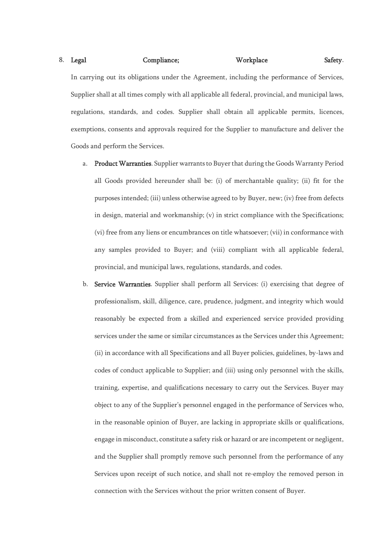## 8. Legal Compliance; Workplace Safety.

In carrying out its obligations under the Agreement, including the performance of Services, Supplier shall at all times comply with all applicable all federal, provincial, and municipal laws, regulations, standards, and codes. Supplier shall obtain all applicable permits, licences, exemptions, consents and approvals required for the Supplier to manufacture and deliver the Goods and perform the Services.

- a. Product Warranties. Supplier warrants to Buyer that during the Goods Warranty Period all Goods provided hereunder shall be: (i) of merchantable quality; (ii) fit for the purposes intended; (iii) unless otherwise agreed to by Buyer, new; (iv) free from defects in design, material and workmanship; (v) in strict compliance with the Specifications; (vi) free from any liens or encumbrances on title whatsoever; (vii) in conformance with any samples provided to Buyer; and (viii) compliant with all applicable federal, provincial, and municipal laws, regulations, standards, and codes.
- b. Service Warranties. Supplier shall perform all Services: (i) exercising that degree of professionalism, skill, diligence, care, prudence, judgment, and integrity which would reasonably be expected from a skilled and experienced service provided providing services under the same or similar circumstances as the Services under this Agreement; (ii) in accordance with all Specifications and all Buyer policies, guidelines, by-laws and codes of conduct applicable to Supplier; and (iii) using only personnel with the skills, training, expertise, and qualifications necessary to carry out the Services. Buyer may object to any of the Supplier's personnel engaged in the performance of Services who, in the reasonable opinion of Buyer, are lacking in appropriate skills or qualifications, engage in misconduct, constitute a safety risk or hazard or are incompetent or negligent, and the Supplier shall promptly remove such personnel from the performance of any Services upon receipt of such notice, and shall not re-employ the removed person in connection with the Services without the prior written consent of Buyer.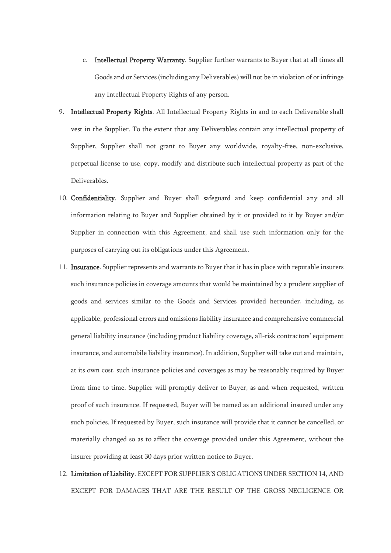- c. Intellectual Property Warranty. Supplier further warrants to Buyer that at all times all Goods and or Services (including any Deliverables) will not be in violation of or infringe any Intellectual Property Rights of any person.
- 9. Intellectual Property Rights. All Intellectual Property Rights in and to each Deliverable shall vest in the Supplier. To the extent that any Deliverables contain any intellectual property of Supplier, Supplier shall not grant to Buyer any worldwide, royalty-free, non-exclusive, perpetual license to use, copy, modify and distribute such intellectual property as part of the Deliverables.
- 10. Confidentiality. Supplier and Buyer shall safeguard and keep confidential any and all information relating to Buyer and Supplier obtained by it or provided to it by Buyer and/or Supplier in connection with this Agreement, and shall use such information only for the purposes of carrying out its obligations under this Agreement.
- 11. Insurance. Supplier represents and warrants to Buyer that it has in place with reputable insurers such insurance policies in coverage amounts that would be maintained by a prudent supplier of goods and services similar to the Goods and Services provided hereunder, including, as applicable, professional errors and omissions liability insurance and comprehensive commercial general liability insurance (including product liability coverage, all-risk contractors' equipment insurance, and automobile liability insurance). In addition, Supplier will take out and maintain, at its own cost, such insurance policies and coverages as may be reasonably required by Buyer from time to time. Supplier will promptly deliver to Buyer, as and when requested, written proof of such insurance. If requested, Buyer will be named as an additional insured under any such policies. If requested by Buyer, such insurance will provide that it cannot be cancelled, or materially changed so as to affect the coverage provided under this Agreement, without the insurer providing at least 30 days prior written notice to Buyer.
- 12. Limitation of Liability. EXCEPT FOR SUPPLIER'S OBLIGATIONS UNDER SECTION 14, AND EXCEPT FOR DAMAGES THAT ARE THE RESULT OF THE GROSS NEGLIGENCE OR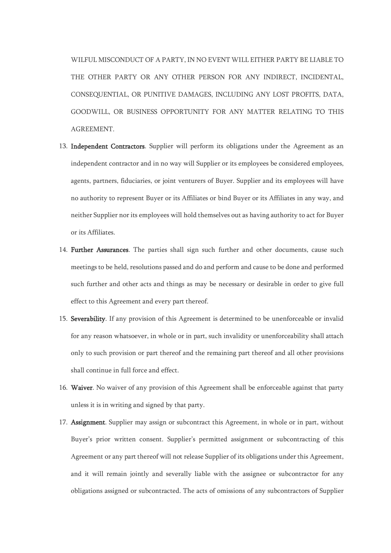WILFUL MISCONDUCT OF A PARTY, IN NO EVENT WILL EITHER PARTY BE LIABLE TO THE OTHER PARTY OR ANY OTHER PERSON FOR ANY INDIRECT, INCIDENTAL, CONSEQUENTIAL, OR PUNITIVE DAMAGES, INCLUDING ANY LOST PROFITS, DATA, GOODWILL, OR BUSINESS OPPORTUNITY FOR ANY MATTER RELATING TO THIS AGREEMENT.

- 13. Independent Contractors. Supplier will perform its obligations under the Agreement as an independent contractor and in no way will Supplier or its employees be considered employees, agents, partners, fiduciaries, or joint venturers of Buyer. Supplier and its employees will have no authority to represent Buyer or its Affiliates or bind Buyer or its Affiliates in any way, and neither Supplier nor its employees will hold themselves out as having authority to act for Buyer or its Affiliates.
- 14. Further Assurances. The parties shall sign such further and other documents, cause such meetings to be held, resolutions passed and do and perform and cause to be done and performed such further and other acts and things as may be necessary or desirable in order to give full effect to this Agreement and every part thereof.
- 15. Severability. If any provision of this Agreement is determined to be unenforceable or invalid for any reason whatsoever, in whole or in part, such invalidity or unenforceability shall attach only to such provision or part thereof and the remaining part thereof and all other provisions shall continue in full force and effect.
- 16. Waiver. No waiver of any provision of this Agreement shall be enforceable against that party unless it is in writing and signed by that party.
- 17. Assignment. Supplier may assign or subcontract this Agreement, in whole or in part, without Buyer's prior written consent. Supplier's permitted assignment or subcontracting of this Agreement or any part thereof will not release Supplier of its obligations under this Agreement, and it will remain jointly and severally liable with the assignee or subcontractor for any obligations assigned or subcontracted. The acts of omissions of any subcontractors of Supplier